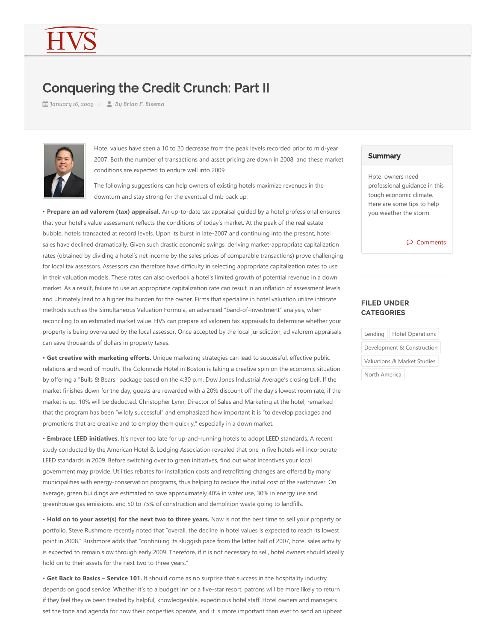## Conquering the Credit Crunch: Part II

*January 16, 2009 By Brian F. Bisema*



Hotel values have seen a 10 to 20 decrease from the peak levels recorded prior to mid‐year 2007. Both the number of transactions and asset pricing are down in 2008, and these market conditions are expected to endure well into 2009.

The following suggestions can help owners of existing hotels maximize revenues in the downturn and stay strong for the eventual climb back up.

• Prepare an ad valorem (tax) appraisal. An up-to-date tax appraisal guided by a hotel professional ensures that your hotel's value assessment reflects the conditions of today's market. At the peak of the real estate bubble, hotels transacted at record levels. Upon its burst in late‐2007 and continuing into the present, hotel sales have declined dramatically. Given such drastic economic swings, deriving market-appropriate capitalization rates (obtained by dividing a hotel's net income by the sales prices of comparable transactions) prove challenging for local tax assessors. Assessors can therefore have difficulty in selecting appropriate capitalization rates to use in their valuation models. These rates can also overlook a hotel's limited growth of potential revenue in a down market. As a result, failure to use an appropriate capitalization rate can result in an inflation of assessment levels and ultimately lead to a higher tax burden for the owner. Firms that specialize in hotel valuation utilize intricate methods such as the Simultaneous Valuation Formula, an advanced "band‐of‐investment" analysis, when reconciling to an estimated market value. HVS can prepare ad valorem tax appraisals to determine whether your property is being overvalued by the local assessor. Once accepted by the local jurisdiction, ad valorem appraisals can save thousands of dollars in property taxes.

• **Get creative with marketing efforts.** Unique marketing strategies can lead to successful, effective public relations and word of mouth. The Colonnade Hotel in Boston is taking a creative spin on the economic situation by offering a "Bulls & Bears" package based on the 4:30 p.m. Dow Jones Industrial Average's closing bell. If the market finishes down for the day, guests are rewarded with a 20% discount off the day's lowest room rate; if the market is up, 10% will be deducted. Christopher Lynn, Director of Sales and Marketing at the hotel, remarked that the program has been "wildly successful" and emphasized how important it is "to develop packages and promotions that are creative and to employ them quickly," especially in a down market.

• **Embrace LEED initiatives.** It's never too late for up‐and‐running hotels to adopt LEED standards. A recent study conducted by the American Hotel & Lodging Association revealed that one in five hotels will incorporate LEED standards in 2009. Before switching over to green initiatives, find out what incentives your local government may provide. Utilities rebates for installation costs and retrofitting changes are offered by many municipalities with energy‐conservation programs, thus helping to reduce the initial cost of the switchover. On average, green buildings are estimated to save approximately 40% in water use, 30% in energy use and greenhouse gas emissions, and 50 to 75% of construction and demolition waste going to landfills.

• **Hold on to your asset(s) for the next two to three years.** Now is not the best time to sell your property or portfolio. Steve Rushmore recently noted that "overall, the decline in hotel values is expected to reach its lowest point in 2008." Rushmore adds that "continuing its sluggish pace from the latter half of 2007, hotel sales activity is expected to remain slow through early 2009. Therefore, if it is not necessary to sell, hotel owners should ideally hold on to their assets for the next two to three years."

• **Get Back to Basics – Service 101.** It should come as no surprise that success in the hospitality industry depends on good service. Whether it's to a budget inn or a five‐star resort, patrons will be more likely to return if they feel they've been treated by helpful, knowledgeable, expeditious hotel staff. Hotel owners and managers set the tone and agenda for how their properties operate, and it is more important than ever to send an upbeat

## **Summary**

Hotel owners need professional guidance in this tough economic climate. Here are some tips to help you weather the storm.

 $\circ$  Comments

## FILED UNDER **CATEGORIES**

|                             | Lending   Hotel Operations |
|-----------------------------|----------------------------|
| Development & Construction  |                            |
| Valuations & Market Studies |                            |
| North America               |                            |